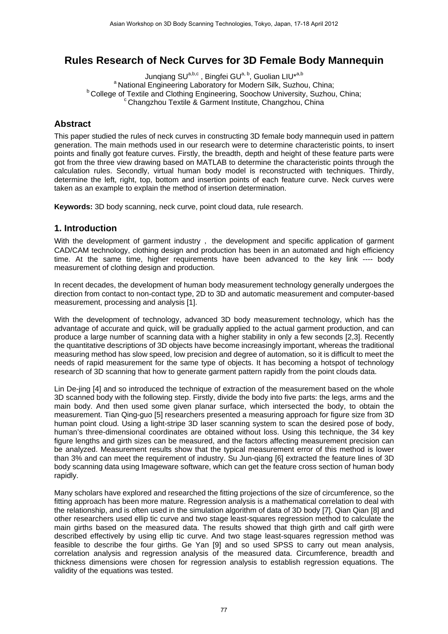# **Rules Research of Neck Curves for 3D Female Body Mannequin**

Junqiang SU<sup>a,b,c</sup>, Bingfei GU<sup>a, b</sup>, Guolian LIU<sup>\*a,b</sup><br>Aboratory for Modern Silk, Suzhou, China;<sup>a</sup> National Engineering Laboratory for Modern Silk, Suzhou, China;  $P$  College of Textile and Clothing Engineering, Soochow University, Suzhou, China;  $C$  Changzhou Textile & Garment Institute, Changzhou, China

# **Abstract**

This paper studied the rules of neck curves in constructing 3D female body mannequin used in pattern generation. The main methods used in our research were to determine characteristic points, to insert points and finally got feature curves. Firstly, the breadth, depth and height of these feature parts were got from the three view drawing based on MATLAB to determine the characteristic points through the calculation rules. Secondly, virtual human body model is reconstructed with techniques. Thirdly, determine the left, right, top, bottom and insertion points of each feature curve. Neck curves were taken as an example to explain the method of insertion determination.

**Keywords:** 3D body scanning, neck curve, point cloud data, rule research.

### **1. Introduction**

With the development of garment industry, the development and specific application of garment CAD/CAM technology, clothing design and production has been in an automated and high efficiency time. At the same time, higher requirements have been advanced to the key link ---- body measurement of clothing design and production.

In recent decades, the development of human body measurement technology generally undergoes the direction from contact to non-contact type, 2D to 3D and automatic measurement and computer-based measurement, processing and analysis [1].

With the development of technology, advanced 3D body measurement technology, which has the advantage of accurate and quick, will be gradually applied to the actual garment production, and can produce a large number of scanning data with a higher stability in only a few seconds [2,3]. Recently the quantitative descriptions of 3D objects have become increasingly important, whereas the traditional measuring method has slow speed, low precision and degree of automation, so it is difficult to meet the needs of rapid measurement for the same type of objects. It has becoming a hotspot of technology research of 3D scanning that how to generate garment pattern rapidly from the point clouds data.

Lin De-jing [4] and so introduced the technique of extraction of the measurement based on the whole 3D scanned body with the following step. Firstly, divide the body into five parts: the legs, arms and the main body. And then used some given planar surface, which intersected the body, to obtain the measurement. Tian Qing-guo [5] researchers presented a measuring approach for figure size from 3D human point cloud. Using a light-stripe 3D laser scanning system to scan the desired pose of body, human's three-dimensional coordinates are obtained without loss. Using this technique, the 34 key figure lengths and girth sizes can be measured, and the factors affecting measurement precision can be analyzed. Measurement results show that the typical measurement error of this method is lower than 3% and can meet the requirement of industry. Su Jun-qiang [6] extracted the feature lines of 3D body scanning data using Imageware software, which can get the feature cross section of human body rapidly.

Many scholars have explored and researched the fitting projections of the size of circumference, so the fitting approach has been more mature. Regression analysis is a mathematical correlation to deal with the relationship, and is often used in the simulation algorithm of data of 3D body [7]. Qian Qian [8] and other researchers used ellip tic curve and two stage least-squares regression method to calculate the main girths based on the measured data. The results showed that thigh girth and calf girth were described effectively by using ellip tic curve. And two stage least-squares regression method was feasible to describe the four girths. Ge Yan [9] and so used SPSS to carry out mean analysis, correlation analysis and regression analysis of the measured data. Circumference, breadth and thickness dimensions were chosen for regression analysis to establish regression equations. The validity of the equations was tested.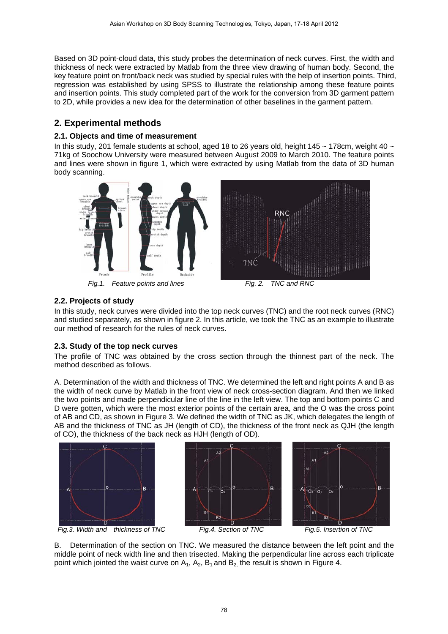Based on 3D point-cloud data, this study probes the determination of neck curves. First, the width and thickness of neck were extracted by Matlab from the three view drawing of human body. Second, the key feature point on front/back neck was studied by special rules with the help of insertion points. Third, regression was established by using SPSS to illustrate the relationship among these feature points and insertion points. This study completed part of the work for the conversion from 3D garment pattern to 2D, while provides a new idea for the determination of other baselines in the garment pattern.

# **2. Experimental methods**

### **2.1. Objects and time of measurement**

In this study, 201 female students at school, aged 18 to 26 years old, height 145 ~ 178cm, weight 40 ~ 71kg of Soochow University were measured between August 2009 to March 2010. The feature points and lines were shown in figure 1, which were extracted by using Matlab from the data of 3D human body scanning.



Fig.1. Feature points and lines Fig. 2. TNC and RNC



B

## **2.2. Projects of study**

In this study, neck curves were divided into the top neck curves (TNC) and the root neck curves (RNC) and studied separately, as shown in figure 2. In this article, we took the TNC as an example to illustrate our method of research for the rules of neck curves.

### **2.3. Study of the top neck curves**

The profile of TNC was obtained by the cross section through the thinnest part of the neck. The method described as follows.

A. Determination of the width and thickness of TNC. We determined the left and right points A and B as the width of neck curve by Matlab in the front view of neck cross-section diagram. And then we linked the two points and made perpendicular line of the line in the left view. The top and bottom points C and D were gotten, which were the most exterior points of the certain area, and the O was the cross point of AB and CD, as shown in Figure 3. We defined the width of TNC as JK, which delegates the length of AB and the thickness of TNC as JH (length of CD), the thickness of the front neck as QJH (the length of CO), the thickness of the back neck as HJH (length of OD).





B. Determination of the section on TNC. We measured the distance between the left point and the middle point of neck width line and then trisected. Making the perpendicular line across each triplicate point which jointed the waist curve on  $A_1$ ,  $A_2$ ,  $B_1$  and  $B_2$ , the result is shown in Figure 4.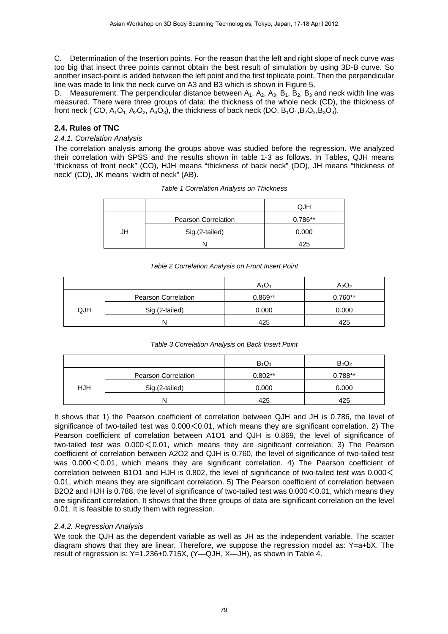C. Determination of the Insertion points. For the reason that the left and right slope of neck curve was too big that insect three points cannot obtain the best result of simulation by using 3D-B curve. So another insect-point is added between the left point and the first triplicate point. Then the perpendicular line was made to link the neck curve on A3 and B3 which is shown in Figure 5.

D. Measurement. The perpendicular distance between  $A_1$ ,  $A_2$ ,  $A_3$ ,  $B_1$ ,  $B_2$ ,  $B_3$  and neck width line was measured. There were three groups of data: the thickness of the whole neck (CD), the thickness of front neck ( CO,  $A_1O_1$ ,  $A_2O_2$ ,  $A_3O_3$ ), the thickness of back neck (DO,  $B_1O_1$ ,  $B_2O_2$ ,  $B_3O_3$ ).

### **2.4. Rules of TNC**

### *2.4.1. Correlation Analysis*

The correlation analysis among the groups above was studied before the regression. We analyzed their correlation with SPSS and the results shown in table 1-3 as follows. In Tables, QJH means "thickness of front neck" (CO), HJH means "thickness of back neck" (DO), JH means "thickness of neck" (CD), JK means "width of neck" (AB).

|    |                     | QJH     |
|----|---------------------|---------|
|    | Pearson Correlation | 0.786** |
| JH | Sig.(2-tailed)      | 0.000   |
|    |                     | 425     |

#### *Table 1 Correlation Analysis on Thickness*

#### *Table 2 Correlation Analysis on Front Insert Point*

|            |                            | $A_1O_1$  | $A_2O_2$  |
|------------|----------------------------|-----------|-----------|
|            | <b>Pearson Correlation</b> | $0.869**$ | $0.760**$ |
| <b>QJH</b> | Sig.(2-tailed)             | 0.000     | 0.000     |
|            | N                          | 425       | 425       |

#### *Table 3 Correlation Analysis on Back Insert Point*

|     |                     | $B_1O_1$  | $B_2O_2$  |
|-----|---------------------|-----------|-----------|
|     | Pearson Correlation | $0.802**$ | $0.788**$ |
| HJH | Sig.(2-tailed)      | 0.000     | 0.000     |
|     |                     | 425       | 425       |

It shows that 1) the Pearson coefficient of correlation between QJH and JH is 0.786, the level of significance of two-tailed test was  $0.000 < 0.01$ , which means they are significant correlation. 2) The Pearson coefficient of correlation between A1O1 and QJH is 0.869, the level of significance of two-tailed test was  $0.000 \le 0.01$ , which means they are significant correlation. 3) The Pearson coefficient of correlation between A2O2 and QJH is 0.760, the level of significance of two-tailed test was  $0.000 \le 0.01$ , which means they are significant correlation. 4) The Pearson coefficient of correlation between B1O1 and HJH is 0.802, the level of significance of two-tailed test was 0.000< 0.01, which means they are significant correlation. 5) The Pearson coefficient of correlation between B2O2 and HJH is 0.788, the level of significance of two-tailed test was 0.000  $<$  0.01, which means they are significant correlation. It shows that the three groups of data are significant correlation on the level 0.01. It is feasible to study them with regression.

### *2.4.2. Regression Analysis*

We took the QJH as the dependent variable as well as JH as the independent variable. The scatter diagram shows that they are linear. Therefore, we suppose the regression model as: Y=a+bX. The result of regression is: Y=1.236+0.715X, (Y—QJH, X—JH), as shown in Table 4.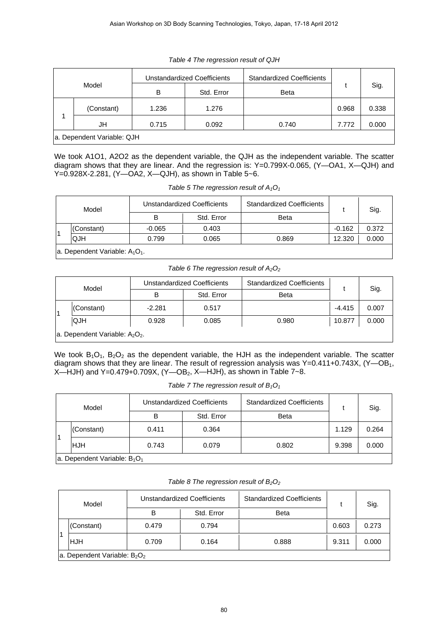| Model                      |            | Unstandardized Coefficients |            | <b>Standardized Coefficients</b> |       |       |
|----------------------------|------------|-----------------------------|------------|----------------------------------|-------|-------|
|                            |            | B                           | Std. Error | <b>Beta</b>                      |       | Sig.  |
|                            | (Constant) | 1.236                       | 1.276      |                                  | 0.968 | 0.338 |
|                            | JH         | 0.715                       | 0.092      | 0.740                            | 7.772 | 0.000 |
| a. Dependent Variable: QJH |            |                             |            |                                  |       |       |

### *Table 4 The regression result of QJH*

We took A1O1, A2O2 as the dependent variable, the QJH as the independent variable. The scatter diagram shows that they are linear. And the regression is: Y=0.799X-0.065, (Y—OA1, X—QJH) and Y=0.928X-2.281, (Y—OA2, X—QJH), as shown in Table 5~6.

*Table 5 The regression result of A1O1*

| Model                             |            | Unstandardized Coefficients |            | <b>Standardized Coefficients</b> |          | Sig.  |  |
|-----------------------------------|------------|-----------------------------|------------|----------------------------------|----------|-------|--|
|                                   |            | B                           | Std. Error | <b>Beta</b>                      |          |       |  |
|                                   | (Constant) | $-0.065$                    | 0.403      |                                  | $-0.162$ | 0.372 |  |
|                                   | <b>QJH</b> | 0.799                       | 0.065      | 0.869                            | 12.320   | 0.000 |  |
| a. Dependent Variable: $A_1O_1$ . |            |                             |            |                                  |          |       |  |

#### *Table 6 The regression result of A2O2*

 $\overline{\phantom{a}}$ 

| Model                                                  |            | Unstandardized Coefficients |            | <b>Standardized Coefficients</b> |          |       |
|--------------------------------------------------------|------------|-----------------------------|------------|----------------------------------|----------|-------|
|                                                        |            | В                           | Std. Error | <b>Beta</b>                      |          | Sig.  |
|                                                        | (Constant) | $-2.281$                    | 0.517      |                                  | $-4.415$ | 0.007 |
|                                                        | <b>QJH</b> | 0.928                       | 0.085      | 0.980                            | 10.877   | 0.000 |
| a. Dependent Variable: A <sub>2</sub> O <sub>2</sub> . |            |                             |            |                                  |          |       |

We took  $B_1O_1$ ,  $B_2O_2$  as the dependent variable, the HJH as the independent variable. The scatter diagram shows that they are linear. The result of regression analysis was Y=0.411+0.743X, (Y—OB<sub>1</sub>, X—HJH) and Y=0.479+0.709X,  $(Y=OB_2, X=HJH)$ , as shown in Table 7~8.

|  |  | Table 7 The regression result of $B_1O_1$ |  |  |
|--|--|-------------------------------------------|--|--|
|--|--|-------------------------------------------|--|--|

| Model          |                                 | Unstandardized Coefficients |            | <b>Standardized Coefficients</b> |       | Sig.  |  |
|----------------|---------------------------------|-----------------------------|------------|----------------------------------|-------|-------|--|
|                |                                 | в                           | Std. Error | <b>Beta</b>                      |       |       |  |
| $\overline{1}$ | (Constant)                      | 0.411                       | 0.364      |                                  | 1.129 | 0.264 |  |
|                | <b>IHJH</b>                     | 0.743                       | 0.079      | 0.802                            | 9.398 | 0.000 |  |
|                | a. Dependent Variable: $B_1O_1$ |                             |            |                                  |       |       |  |

| Table 8 The regression result of $B_2O_2$ |  |  |  |  |  |  |
|-------------------------------------------|--|--|--|--|--|--|
|-------------------------------------------|--|--|--|--|--|--|

| Model |                                 | Unstandardized Coefficients |            | <b>Standardized Coefficients</b> |       | Sig.  |  |
|-------|---------------------------------|-----------------------------|------------|----------------------------------|-------|-------|--|
|       |                                 | В                           | Std. Error | <b>Beta</b>                      |       |       |  |
|       | (Constant)                      | 0.479                       | 0.794      |                                  | 0.603 | 0.273 |  |
|       | HJH                             | 0.709                       | 0.164      | 0.888                            | 9.311 | 0.000 |  |
|       | a. Dependent Variable: $B_2O_2$ |                             |            |                                  |       |       |  |